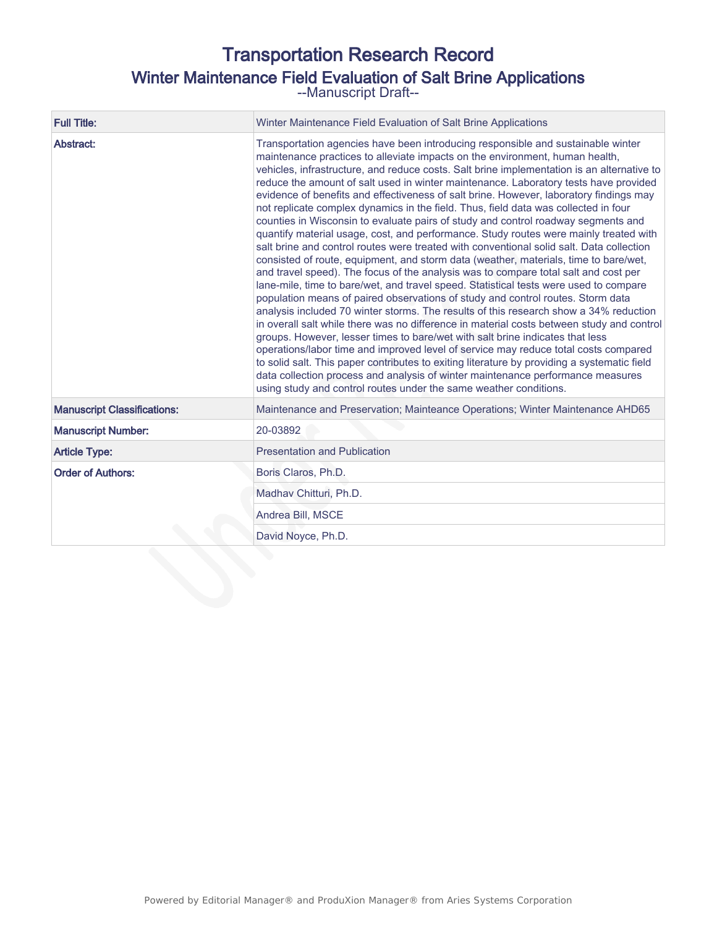# Transportation Research Record Winter Maintenance Field Evaluation of Salt Brine Applications

--Manuscript Draft--

| <b>Full Title:</b>                                                                                                  | Winter Maintenance Field Evaluation of Salt Brine Applications                                                                                                                                                                                                                                                                                                                                                                                                                                                                                                                                                                                                                                                                                                                                                                                                                                                                                                                                                                                                                                                                                                                                                                                                                                                                                                                                                                                                                                                                                                                                                                                                                                                                                                                                    |  |  |  |
|---------------------------------------------------------------------------------------------------------------------|---------------------------------------------------------------------------------------------------------------------------------------------------------------------------------------------------------------------------------------------------------------------------------------------------------------------------------------------------------------------------------------------------------------------------------------------------------------------------------------------------------------------------------------------------------------------------------------------------------------------------------------------------------------------------------------------------------------------------------------------------------------------------------------------------------------------------------------------------------------------------------------------------------------------------------------------------------------------------------------------------------------------------------------------------------------------------------------------------------------------------------------------------------------------------------------------------------------------------------------------------------------------------------------------------------------------------------------------------------------------------------------------------------------------------------------------------------------------------------------------------------------------------------------------------------------------------------------------------------------------------------------------------------------------------------------------------------------------------------------------------------------------------------------------------|--|--|--|
| Abstract:                                                                                                           | Transportation agencies have been introducing responsible and sustainable winter<br>maintenance practices to alleviate impacts on the environment, human health,<br>vehicles, infrastructure, and reduce costs. Salt brine implementation is an alternative to<br>reduce the amount of salt used in winter maintenance. Laboratory tests have provided<br>evidence of benefits and effectiveness of salt brine. However, laboratory findings may<br>not replicate complex dynamics in the field. Thus, field data was collected in four<br>counties in Wisconsin to evaluate pairs of study and control roadway segments and<br>quantify material usage, cost, and performance. Study routes were mainly treated with<br>salt brine and control routes were treated with conventional solid salt. Data collection<br>consisted of route, equipment, and storm data (weather, materials, time to bare/wet,<br>and travel speed). The focus of the analysis was to compare total salt and cost per<br>lane-mile, time to bare/wet, and travel speed. Statistical tests were used to compare<br>population means of paired observations of study and control routes. Storm data<br>analysis included 70 winter storms. The results of this research show a 34% reduction<br>in overall salt while there was no difference in material costs between study and control<br>groups. However, lesser times to bare/wet with salt brine indicates that less<br>operations/labor time and improved level of service may reduce total costs compared<br>to solid salt. This paper contributes to exiting literature by providing a systematic field<br>data collection process and analysis of winter maintenance performance measures<br>using study and control routes under the same weather conditions. |  |  |  |
| Maintenance and Preservation; Mainteance Operations; Winter Maintenance AHD65<br><b>Manuscript Classifications:</b> |                                                                                                                                                                                                                                                                                                                                                                                                                                                                                                                                                                                                                                                                                                                                                                                                                                                                                                                                                                                                                                                                                                                                                                                                                                                                                                                                                                                                                                                                                                                                                                                                                                                                                                                                                                                                   |  |  |  |
| <b>Manuscript Number:</b>                                                                                           | 20-03892                                                                                                                                                                                                                                                                                                                                                                                                                                                                                                                                                                                                                                                                                                                                                                                                                                                                                                                                                                                                                                                                                                                                                                                                                                                                                                                                                                                                                                                                                                                                                                                                                                                                                                                                                                                          |  |  |  |
| <b>Article Type:</b>                                                                                                | <b>Presentation and Publication</b>                                                                                                                                                                                                                                                                                                                                                                                                                                                                                                                                                                                                                                                                                                                                                                                                                                                                                                                                                                                                                                                                                                                                                                                                                                                                                                                                                                                                                                                                                                                                                                                                                                                                                                                                                               |  |  |  |
| <b>Order of Authors:</b>                                                                                            | Boris Claros, Ph.D.                                                                                                                                                                                                                                                                                                                                                                                                                                                                                                                                                                                                                                                                                                                                                                                                                                                                                                                                                                                                                                                                                                                                                                                                                                                                                                                                                                                                                                                                                                                                                                                                                                                                                                                                                                               |  |  |  |
|                                                                                                                     | Madhav Chitturi, Ph.D.                                                                                                                                                                                                                                                                                                                                                                                                                                                                                                                                                                                                                                                                                                                                                                                                                                                                                                                                                                                                                                                                                                                                                                                                                                                                                                                                                                                                                                                                                                                                                                                                                                                                                                                                                                            |  |  |  |
|                                                                                                                     | Andrea Bill, MSCE                                                                                                                                                                                                                                                                                                                                                                                                                                                                                                                                                                                                                                                                                                                                                                                                                                                                                                                                                                                                                                                                                                                                                                                                                                                                                                                                                                                                                                                                                                                                                                                                                                                                                                                                                                                 |  |  |  |
|                                                                                                                     | David Noyce, Ph.D.                                                                                                                                                                                                                                                                                                                                                                                                                                                                                                                                                                                                                                                                                                                                                                                                                                                                                                                                                                                                                                                                                                                                                                                                                                                                                                                                                                                                                                                                                                                                                                                                                                                                                                                                                                                |  |  |  |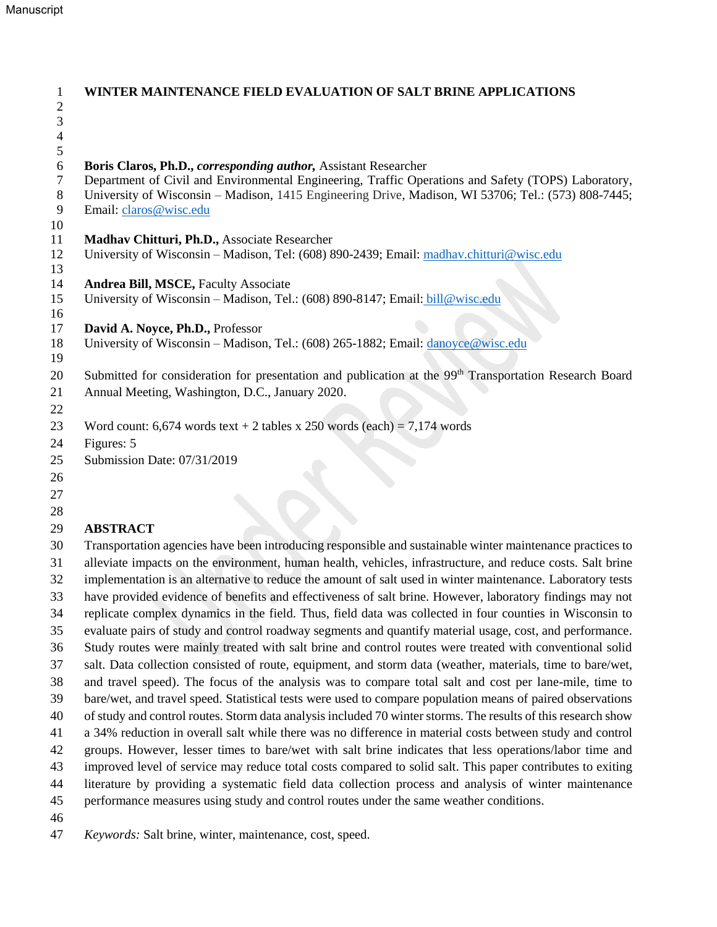| 1<br>$\overline{2}$ | WINTER MAINTENANCE FIELD EVALUATION OF SALT BRINE APPLICATIONS                                                                |
|---------------------|-------------------------------------------------------------------------------------------------------------------------------|
| 3                   |                                                                                                                               |
| $\overline{4}$      |                                                                                                                               |
| 5                   |                                                                                                                               |
| 6                   | Boris Claros, Ph.D., corresponding author, Assistant Researcher                                                               |
| 7                   | Department of Civil and Environmental Engineering, Traffic Operations and Safety (TOPS) Laboratory,                           |
| 8<br>9              | University of Wisconsin – Madison, 1415 Engineering Drive, Madison, WI 53706; Tel.: (573) 808-7445;<br>Email: claros@wisc.edu |
| 10                  |                                                                                                                               |
| 11                  | Madhav Chitturi, Ph.D., Associate Researcher                                                                                  |
| 12<br>13            | University of Wisconsin - Madison, Tel: (608) 890-2439; Email: madhav.chitturi@wisc.edu                                       |
| 14                  | <b>Andrea Bill, MSCE, Faculty Associate</b>                                                                                   |
| 15                  | University of Wisconsin - Madison, Tel.: (608) 890-8147; Email: bill@wisc.edu                                                 |
| 16                  |                                                                                                                               |
| 17                  | David A. Noyce, Ph.D., Professor                                                                                              |
| 18                  | University of Wisconsin - Madison, Tel.: (608) 265-1882; Email: danoyce@wisc.edu                                              |
| 19                  |                                                                                                                               |
| 20                  | Submitted for consideration for presentation and publication at the 99 <sup>th</sup> Transportation Research Board            |
| 21                  | Annual Meeting, Washington, D.C., January 2020.                                                                               |
| 22                  |                                                                                                                               |
| 23                  | Word count: 6,674 words text + 2 tables x 250 words (each) = 7,174 words                                                      |
| 24                  | Figures: 5                                                                                                                    |
| 25                  | Submission Date: 07/31/2019                                                                                                   |
| 26                  |                                                                                                                               |
| 27<br>28            |                                                                                                                               |
| 29                  | <b>ABSTRACT</b>                                                                                                               |
| 30                  | Transportation agencies have been introducing responsible and sustainable winter maintenance practices to                     |
| 31                  | alleviate impacts on the environment, human health, vehicles, infrastructure, and reduce costs. Salt brine                    |
| 32                  | implementation is an alternative to reduce the amount of salt used in winter maintenance. Laboratory tests                    |
| 33                  | have provided evidence of benefits and effectiveness of salt brine. However, laboratory findings may not                      |
| 34                  | replicate complex dynamics in the field. Thus, field data was collected in four counties in Wisconsin to                      |
| 35                  | evaluate pairs of study and control roadway segments and quantify material usage, cost, and performance.                      |
| 36                  | Study routes were mainly treated with salt brine and control routes were treated with conventional solid                      |
| 37                  | salt. Data collection consisted of route, equipment, and storm data (weather, materials, time to bare/wet,                    |
| 38                  | and travel speed). The focus of the analysis was to compare total salt and cost per lane-mile, time to                        |
| 39                  | bare/wet, and travel speed. Statistical tests were used to compare population means of paired observations                    |
| 40                  | of study and control routes. Storm data analysis included 70 winter storms. The results of this research show                 |

a 34% reduction in overall salt while there was no difference in material costs between study and control

groups. However, lesser times to bare/wet with salt brine indicates that less operations/labor time and

improved level of service may reduce total costs compared to solid salt. This paper contributes to exiting

literature by providing a systematic field data collection process and analysis of winter maintenance

performance measures using study and control routes under the same weather conditions.

*Keywords:* Salt brine, winter, maintenance, cost, speed.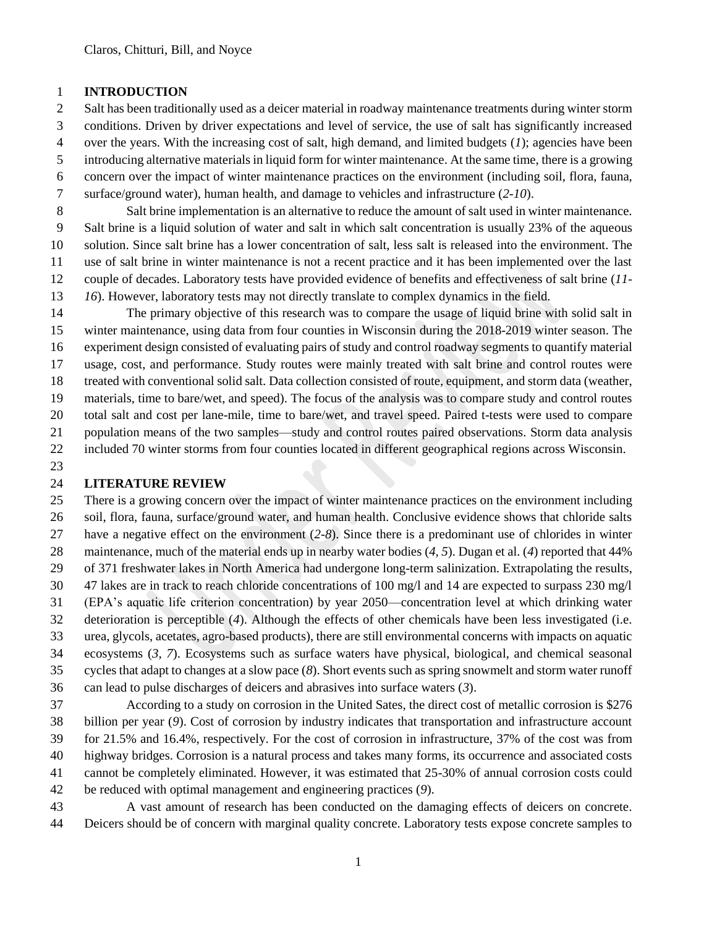#### **INTRODUCTION**

 Salt has been traditionally used as a deicer material in roadway maintenance treatments during winter storm conditions. Driven by driver expectations and level of service, the use of salt has significantly increased over the years. With the increasing cost of salt, high demand, and limited budgets (*1*); agencies have been introducing alternative materials in liquid form for winter maintenance. At the same time, there is a growing concern over the impact of winter maintenance practices on the environment (including soil, flora, fauna, surface/ground water), human health, and damage to vehicles and infrastructure (*2-10*).

 Salt brine implementation is an alternative to reduce the amount of salt used in winter maintenance. Salt brine is a liquid solution of water and salt in which salt concentration is usually 23% of the aqueous solution. Since salt brine has a lower concentration of salt, less salt is released into the environment. The use of salt brine in winter maintenance is not a recent practice and it has been implemented over the last couple of decades. Laboratory tests have provided evidence of benefits and effectiveness of salt brine (*11- 16*). However, laboratory tests may not directly translate to complex dynamics in the field.

 The primary objective of this research was to compare the usage of liquid brine with solid salt in winter maintenance, using data from four counties in Wisconsin during the 2018-2019 winter season. The experiment design consisted of evaluating pairs of study and control roadway segments to quantify material usage, cost, and performance. Study routes were mainly treated with salt brine and control routes were treated with conventional solid salt. Data collection consisted of route, equipment, and storm data (weather, materials, time to bare/wet, and speed). The focus of the analysis was to compare study and control routes total salt and cost per lane-mile, time to bare/wet, and travel speed. Paired t-tests were used to compare population means of the two samples—study and control routes paired observations. Storm data analysis included 70 winter storms from four counties located in different geographical regions across Wisconsin.

#### **LITERATURE REVIEW**

 There is a growing concern over the impact of winter maintenance practices on the environment including soil, flora, fauna, surface/ground water, and human health. Conclusive evidence shows that chloride salts have a negative effect on the environment (*2-8*). Since there is a predominant use of chlorides in winter maintenance, much of the material ends up in nearby water bodies (*4, 5*). Dugan et al. (*4*) reported that 44% of 371 freshwater lakes in North America had undergone long-term salinization. Extrapolating the results, 47 lakes are in track to reach chloride concentrations of 100 mg/l and 14 are expected to surpass 230 mg/l (EPA's aquatic life criterion concentration) by year 2050—concentration level at which drinking water deterioration is perceptible (*4*). Although the effects of other chemicals have been less investigated (i.e. urea, glycols, acetates, agro-based products), there are still environmental concerns with impacts on aquatic ecosystems (*3, 7*). Ecosystems such as surface waters have physical, biological, and chemical seasonal cycles that adapt to changes at a slow pace (*8*). Short events such as spring snowmelt and storm water runoff can lead to pulse discharges of deicers and abrasives into surface waters (*3*).

 According to a study on corrosion in the United Sates, the direct cost of metallic corrosion is \$276 billion per year (*9*). Cost of corrosion by industry indicates that transportation and infrastructure account for 21.5% and 16.4%, respectively. For the cost of corrosion in infrastructure, 37% of the cost was from highway bridges. Corrosion is a natural process and takes many forms, its occurrence and associated costs cannot be completely eliminated. However, it was estimated that 25-30% of annual corrosion costs could be reduced with optimal management and engineering practices (*9*).

 A vast amount of research has been conducted on the damaging effects of deicers on concrete. Deicers should be of concern with marginal quality concrete. Laboratory tests expose concrete samples to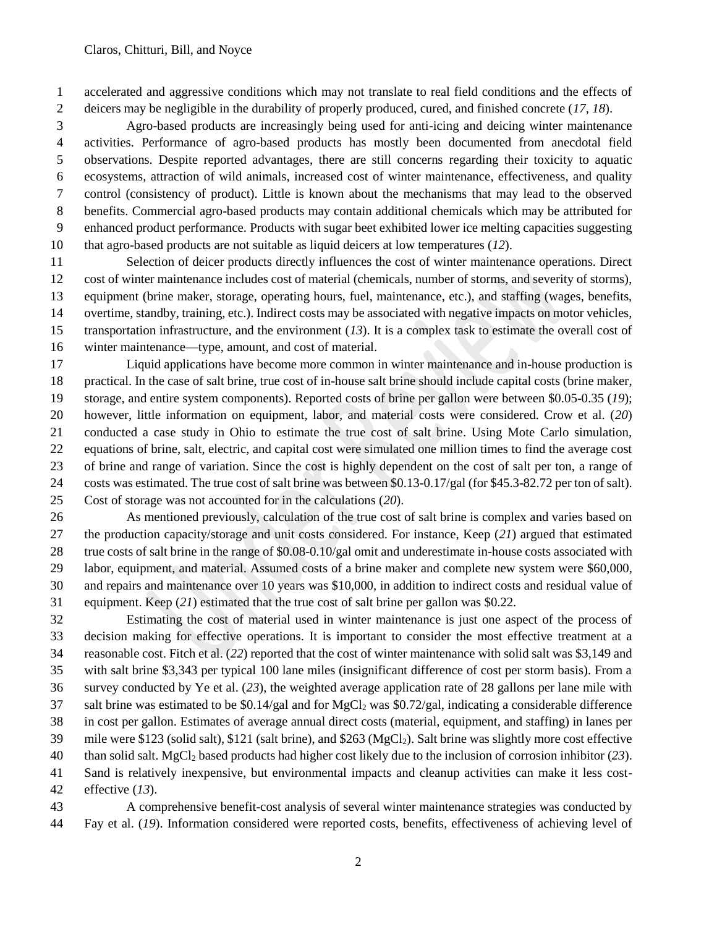accelerated and aggressive conditions which may not translate to real field conditions and the effects of deicers may be negligible in the durability of properly produced, cured, and finished concrete (*17, 18*).

 Agro-based products are increasingly being used for anti-icing and deicing winter maintenance activities. Performance of agro-based products has mostly been documented from anecdotal field observations. Despite reported advantages, there are still concerns regarding their toxicity to aquatic ecosystems, attraction of wild animals, increased cost of winter maintenance, effectiveness, and quality control (consistency of product). Little is known about the mechanisms that may lead to the observed benefits. Commercial agro-based products may contain additional chemicals which may be attributed for enhanced product performance. Products with sugar beet exhibited lower ice melting capacities suggesting that agro-based products are not suitable as liquid deicers at low temperatures (*12*).

 Selection of deicer products directly influences the cost of winter maintenance operations. Direct cost of winter maintenance includes cost of material (chemicals, number of storms, and severity of storms), equipment (brine maker, storage, operating hours, fuel, maintenance, etc.), and staffing (wages, benefits, overtime, standby, training, etc.). Indirect costs may be associated with negative impacts on motor vehicles, transportation infrastructure, and the environment (*13*). It is a complex task to estimate the overall cost of winter maintenance—type, amount, and cost of material.

 Liquid applications have become more common in winter maintenance and in-house production is practical. In the case of salt brine, true cost of in-house salt brine should include capital costs (brine maker, storage, and entire system components). Reported costs of brine per gallon were between \$0.05-0.35 (*19*); however, little information on equipment, labor, and material costs were considered. Crow et al. (*20*) conducted a case study in Ohio to estimate the true cost of salt brine. Using Mote Carlo simulation, equations of brine, salt, electric, and capital cost were simulated one million times to find the average cost of brine and range of variation. Since the cost is highly dependent on the cost of salt per ton, a range of costs was estimated. The true cost of salt brine was between \$0.13-0.17/gal (for \$45.3-82.72 per ton of salt). Cost of storage was not accounted for in the calculations (*20*).

 As mentioned previously, calculation of the true cost of salt brine is complex and varies based on the production capacity/storage and unit costs considered. For instance, Keep (*21*) argued that estimated true costs of salt brine in the range of \$0.08-0.10/gal omit and underestimate in-house costs associated with labor, equipment, and material. Assumed costs of a brine maker and complete new system were \$60,000, and repairs and maintenance over 10 years was \$10,000, in addition to indirect costs and residual value of equipment. Keep (*21*) estimated that the true cost of salt brine per gallon was \$0.22.

 Estimating the cost of material used in winter maintenance is just one aspect of the process of decision making for effective operations. It is important to consider the most effective treatment at a reasonable cost. Fitch et al. (*22*) reported that the cost of winter maintenance with solid salt was \$3,149 and with salt brine \$3,343 per typical 100 lane miles (insignificant difference of cost per storm basis). From a survey conducted by Ye et al. (*23*), the weighted average application rate of 28 gallons per lane mile with 37 salt brine was estimated to be  $$0.14/gal$  and for MgCl<sub>2</sub> was  $$0.72/gal$ , indicating a considerable difference in cost per gallon. Estimates of average annual direct costs (material, equipment, and staffing) in lanes per mile were \$123 (solid salt), \$121 (salt brine), and \$263 (MgCl2). Salt brine was slightly more cost effective than solid salt. MgCl<sup>2</sup> based products had higher cost likely due to the inclusion of corrosion inhibitor (*23*). Sand is relatively inexpensive, but environmental impacts and cleanup activities can make it less cost-effective (*13*).

 A comprehensive benefit-cost analysis of several winter maintenance strategies was conducted by Fay et al. (*19*). Information considered were reported costs, benefits, effectiveness of achieving level of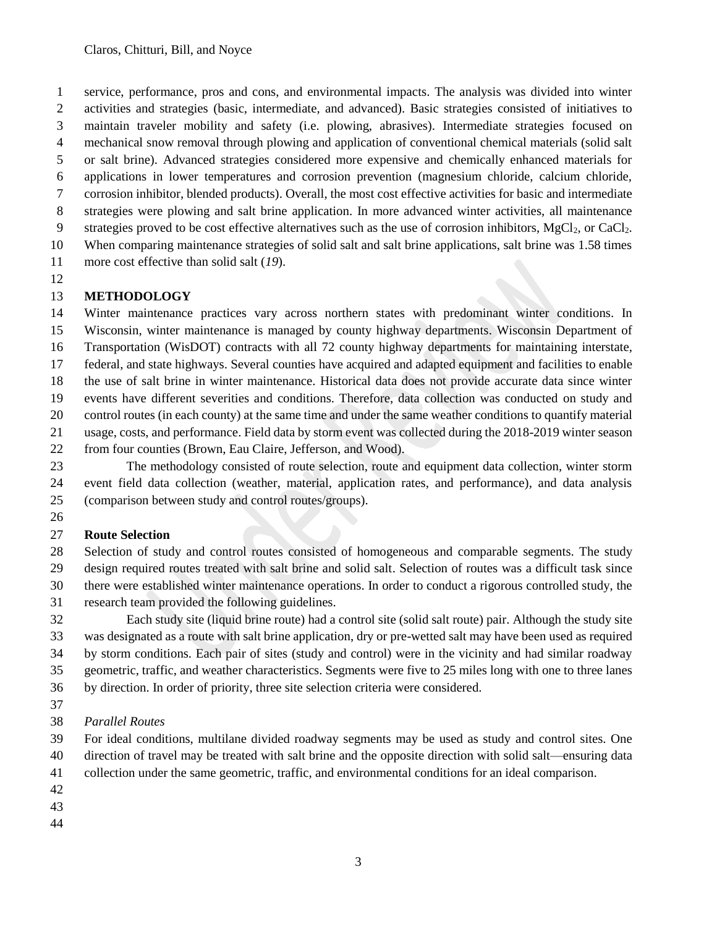service, performance, pros and cons, and environmental impacts. The analysis was divided into winter activities and strategies (basic, intermediate, and advanced). Basic strategies consisted of initiatives to maintain traveler mobility and safety (i.e. plowing, abrasives). Intermediate strategies focused on mechanical snow removal through plowing and application of conventional chemical materials (solid salt or salt brine). Advanced strategies considered more expensive and chemically enhanced materials for applications in lower temperatures and corrosion prevention (magnesium chloride, calcium chloride, corrosion inhibitor, blended products). Overall, the most cost effective activities for basic and intermediate strategies were plowing and salt brine application. In more advanced winter activities, all maintenance

- 9 strategies proved to be cost effective alternatives such as the use of corrosion inhibitors,  $MgCl<sub>2</sub>$ , or CaCl<sub>2</sub>. When comparing maintenance strategies of solid salt and salt brine applications, salt brine was 1.58 times
- more cost effective than solid salt (*19*).
- 

# **METHODOLOGY**

 Winter maintenance practices vary across northern states with predominant winter conditions. In Wisconsin, winter maintenance is managed by county highway departments. Wisconsin Department of Transportation (WisDOT) contracts with all 72 county highway departments for maintaining interstate, federal, and state highways. Several counties have acquired and adapted equipment and facilities to enable the use of salt brine in winter maintenance. Historical data does not provide accurate data since winter events have different severities and conditions. Therefore, data collection was conducted on study and control routes (in each county) at the same time and under the same weather conditions to quantify material usage, costs, and performance. Field data by storm event was collected during the 2018-2019 winter season from four counties (Brown, Eau Claire, Jefferson, and Wood).

 The methodology consisted of route selection, route and equipment data collection, winter storm event field data collection (weather, material, application rates, and performance), and data analysis (comparison between study and control routes/groups).

## **Route Selection**

 Selection of study and control routes consisted of homogeneous and comparable segments. The study design required routes treated with salt brine and solid salt. Selection of routes was a difficult task since there were established winter maintenance operations. In order to conduct a rigorous controlled study, the research team provided the following guidelines.

 Each study site (liquid brine route) had a control site (solid salt route) pair. Although the study site was designated as a route with salt brine application, dry or pre-wetted salt may have been used as required by storm conditions. Each pair of sites (study and control) were in the vicinity and had similar roadway geometric, traffic, and weather characteristics. Segments were five to 25 miles long with one to three lanes by direction. In order of priority, three site selection criteria were considered.

*Parallel Routes*

 For ideal conditions, multilane divided roadway segments may be used as study and control sites. One direction of travel may be treated with salt brine and the opposite direction with solid salt—ensuring data

collection under the same geometric, traffic, and environmental conditions for an ideal comparison.

- 
- 
-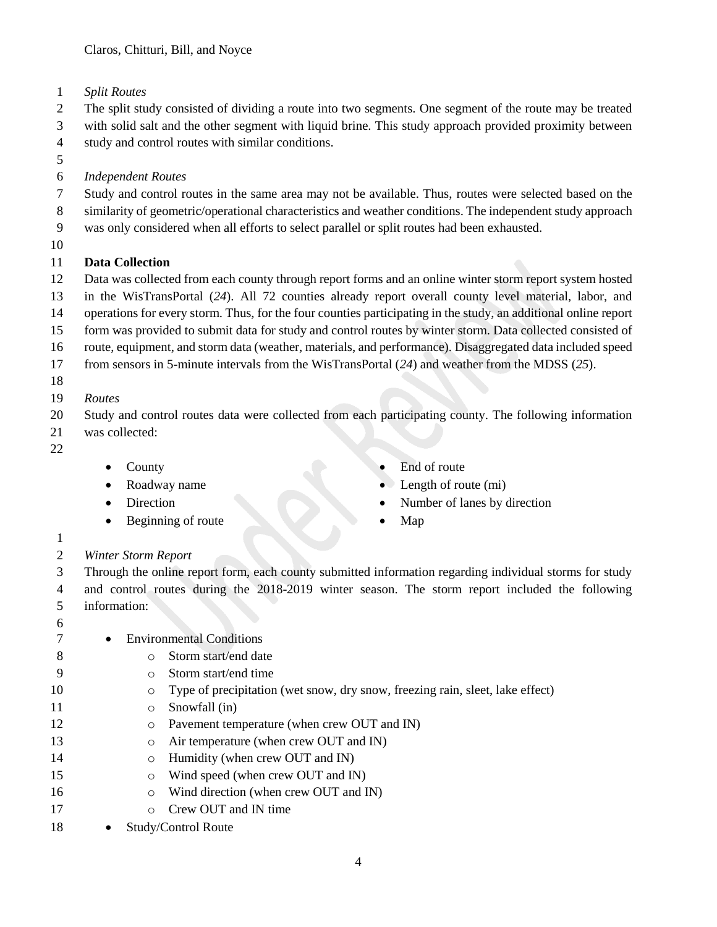*Split Routes* 

 The split study consisted of dividing a route into two segments. One segment of the route may be treated with solid salt and the other segment with liquid brine. This study approach provided proximity between

study and control routes with similar conditions.

- 
- *Independent Routes*
- Study and control routes in the same area may not be available. Thus, routes were selected based on the
- similarity of geometric/operational characteristics and weather conditions. The independent study approach
- was only considered when all efforts to select parallel or split routes had been exhausted.
- 

# **Data Collection**

- Data was collected from each county through report forms and an online winter storm report system hosted
- in the WisTransPortal (*24*). All 72 counties already report overall county level material, labor, and
- operations for every storm. Thus, for the four counties participating in the study, an additional online report form was provided to submit data for study and control routes by winter storm. Data collected consisted of
- route, equipment, and storm data (weather, materials, and performance). Disaggregated data included speed
- from sensors in 5-minute intervals from the WisTransPortal (*24*) and weather from the MDSS (*25*).
- 
- 
- *Routes*
- Study and control routes data were collected from each participating county. The following information
- was collected:
- 
- County
- Roadway name
- Direction
- Beginning of route
- End of route
- Length of route (mi)
- Number of lanes by direction
- Map

# *Winter Storm Report*

 Through the online report form, each county submitted information regarding individual storms for study and control routes during the 2018-2019 winter season. The storm report included the following information:

- 7 Environmental Conditions
- 8 o Storm start/end date
- o Storm start/end time
- 10 o Type of precipitation (wet snow, dry snow, freezing rain, sleet, lake effect)
- 11 Snowfall (in)
- 12 o Pavement temperature (when crew OUT and IN)
- 13 o Air temperature (when crew OUT and IN)
- **b** o Humidity (when crew OUT and IN)
- 15 o Wind speed (when crew OUT and IN)
- 16 o Wind direction (when crew OUT and IN)
- o Crew OUT and IN time
- 18 Study/Control Route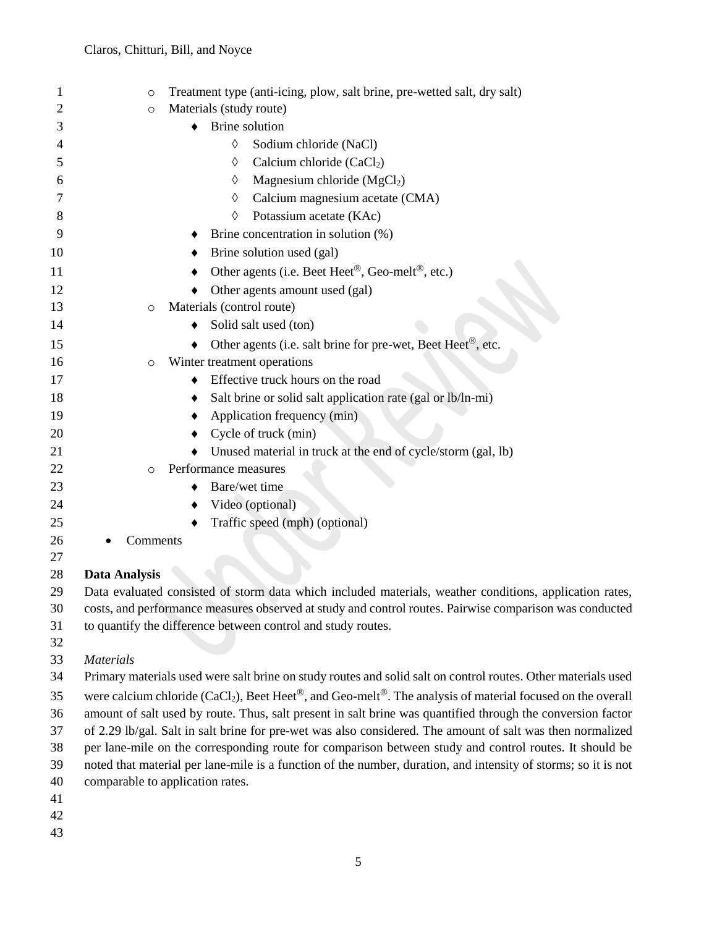| $\mathbf 1$ | $\circ$                                                                                                       | Treatment type (anti-icing, plow, salt brine, pre-wetted salt, dry salt)  |  |  |
|-------------|---------------------------------------------------------------------------------------------------------------|---------------------------------------------------------------------------|--|--|
| 2           | $\circ$                                                                                                       | Materials (study route)                                                   |  |  |
| 3           | $\bullet$                                                                                                     | Brine solution                                                            |  |  |
| 4           |                                                                                                               | $\Diamond$<br>Sodium chloride (NaCl)                                      |  |  |
| 5           |                                                                                                               | Calcium chloride (CaCl2)<br>♦                                             |  |  |
| 6           |                                                                                                               | Magnesium chloride $(MgCl2)$<br>♦                                         |  |  |
| 7           |                                                                                                               | Calcium magnesium acetate (CMA)<br>$\Diamond$                             |  |  |
| 8           |                                                                                                               | Potassium acetate (KAc)<br>♦                                              |  |  |
| 9           |                                                                                                               | Brine concentration in solution (%)                                       |  |  |
| 10          |                                                                                                               | Brine solution used (gal)                                                 |  |  |
| 11          |                                                                                                               | Other agents (i.e. Beet Heet <sup>®</sup> , Geo-melt <sup>®</sup> , etc.) |  |  |
| 12          |                                                                                                               | Other agents amount used (gal)                                            |  |  |
| 13          | $\circ$                                                                                                       | Materials (control route)                                                 |  |  |
| 14          |                                                                                                               | Solid salt used (ton)                                                     |  |  |
| 15          |                                                                                                               | Other agents (i.e. salt brine for pre-wet, Beet Heet®, etc.               |  |  |
| 16          | $\circ$                                                                                                       | Winter treatment operations                                               |  |  |
| 17          | ٠                                                                                                             | Effective truck hours on the road                                         |  |  |
| 18          | ٠                                                                                                             | Salt brine or solid salt application rate (gal or lb/ln-mi)               |  |  |
| 19          |                                                                                                               | Application frequency (min)                                               |  |  |
| 20          |                                                                                                               | Cycle of truck (min)                                                      |  |  |
| 21          |                                                                                                               | Unused material in truck at the end of cycle/storm (gal, lb)              |  |  |
| 22          | $\circ$                                                                                                       | Performance measures                                                      |  |  |
| 23          |                                                                                                               | Bare/wet time                                                             |  |  |
| 24          |                                                                                                               | Video (optional)                                                          |  |  |
| 25          |                                                                                                               | Traffic speed (mph) (optional)                                            |  |  |
| 26          | Comments                                                                                                      |                                                                           |  |  |
| 27          |                                                                                                               |                                                                           |  |  |
| 28          | <b>Data Analysis</b>                                                                                          |                                                                           |  |  |
| 29          | Data evaluated consisted of storm data which included materials, weather conditions, application rates,       |                                                                           |  |  |
| 30          | costs, and performance measures observed at study and control routes. Pairwise comparison was conducted       |                                                                           |  |  |
| 31          | to quantify the difference between control and study routes.                                                  |                                                                           |  |  |
| 32          |                                                                                                               |                                                                           |  |  |
| 33          | <b>Materials</b>                                                                                              |                                                                           |  |  |
| 34          | Primary materials used were salt brine on study routes and solid salt on control routes. Other materials used |                                                                           |  |  |

35 were calcium chloride (CaCl<sub>2</sub>), Beet Heet<sup>®</sup>, and Geo-melt<sup>®</sup>. The analysis of material focused on the overall amount of salt used by route. Thus, salt present in salt brine was quantified through the conversion factor of 2.29 lb/gal. Salt in salt brine for pre-wet was also considered. The amount of salt was then normalized per lane-mile on the corresponding route for comparison between study and control routes. It should be noted that material per lane-mile is a function of the number, duration, and intensity of storms; so it is not comparable to application rates.

- 41
- 42
- 43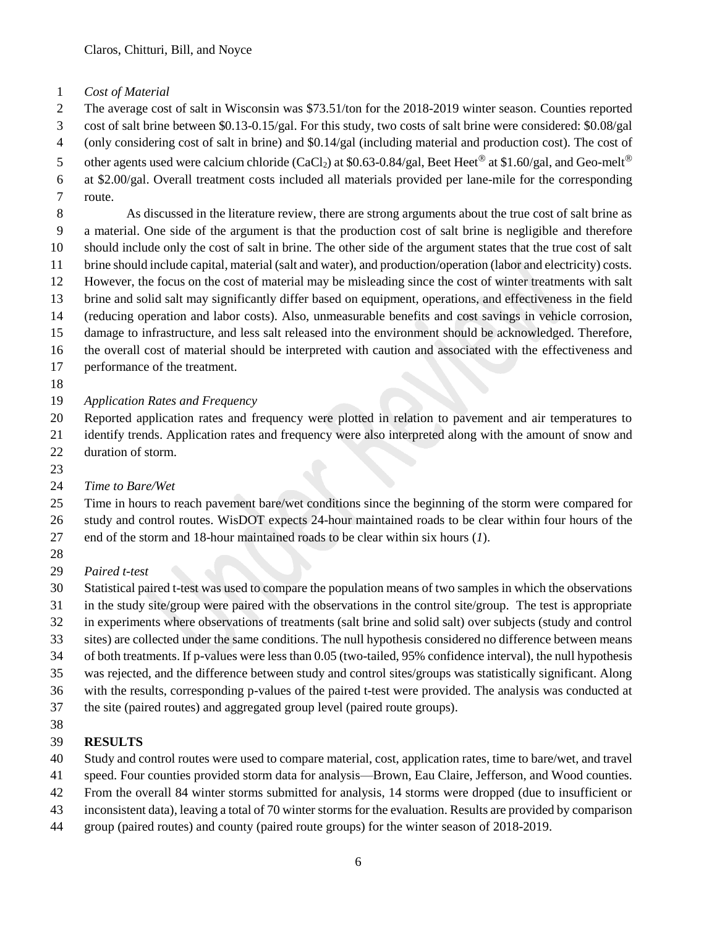- *Cost of Material*
- The average cost of salt in Wisconsin was \$73.51/ton for the 2018-2019 winter season. Counties reported
- cost of salt brine between \$0.13-0.15/gal. For this study, two costs of salt brine were considered: \$0.08/gal
- (only considering cost of salt in brine) and \$0.14/gal (including material and production cost). The cost of
- 5 other agents used were calcium chloride (CaCl<sub>2</sub>) at \$0.63-0.84/gal, Beet Heet<sup>®</sup> at \$1.60/gal, and Geo-melt<sup>®</sup>
- at \$2.00/gal. Overall treatment costs included all materials provided per lane-mile for the corresponding
- route.

 As discussed in the literature review, there are strong arguments about the true cost of salt brine as a material. One side of the argument is that the production cost of salt brine is negligible and therefore should include only the cost of salt in brine. The other side of the argument states that the true cost of salt brine should include capital, material (salt and water), and production/operation (labor and electricity) costs. However, the focus on the cost of material may be misleading since the cost of winter treatments with salt brine and solid salt may significantly differ based on equipment, operations, and effectiveness in the field (reducing operation and labor costs). Also, unmeasurable benefits and cost savings in vehicle corrosion, damage to infrastructure, and less salt released into the environment should be acknowledged. Therefore, the overall cost of material should be interpreted with caution and associated with the effectiveness and

- performance of the treatment.
- 
- *Application Rates and Frequency*

Reported application rates and frequency were plotted in relation to pavement and air temperatures to

identify trends. Application rates and frequency were also interpreted along with the amount of snow and

- duration of storm.
- 

# *Time to Bare/Wet*

 Time in hours to reach pavement bare/wet conditions since the beginning of the storm were compared for study and control routes. WisDOT expects 24-hour maintained roads to be clear within four hours of the end of the storm and 18-hour maintained roads to be clear within six hours (*1*).

- 
- *Paired t-test*

 Statistical paired t-test was used to compare the population means of two samples in which the observations in the study site/group were paired with the observations in the control site/group. The test is appropriate

- in experiments where observations of treatments (salt brine and solid salt) over subjects (study and control
- sites) are collected under the same conditions. The null hypothesis considered no difference between means
- of both treatments. If p-values were less than 0.05 (two-tailed, 95% confidence interval), the null hypothesis
- was rejected, and the difference between study and control sites/groups was statistically significant. Along
- with the results, corresponding p-values of the paired t-test were provided. The analysis was conducted at
- the site (paired routes) and aggregated group level (paired route groups).
- 

# **RESULTS**

- Study and control routes were used to compare material, cost, application rates, time to bare/wet, and travel
- speed. Four counties provided storm data for analysis—Brown, Eau Claire, Jefferson, and Wood counties.
- From the overall 84 winter storms submitted for analysis, 14 storms were dropped (due to insufficient or
- inconsistent data), leaving a total of 70 winter storms for the evaluation. Results are provided by comparison
- group (paired routes) and county (paired route groups) for the winter season of 2018-2019.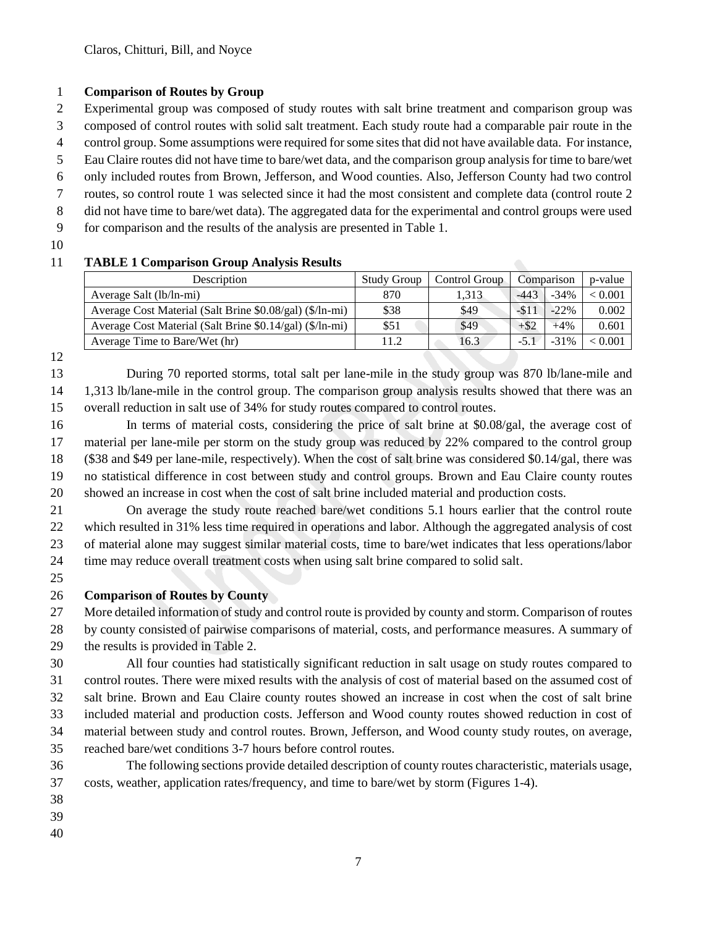## **Comparison of Routes by Group**

Experimental group was composed of study routes with salt brine treatment and comparison group was

composed of control routes with solid salt treatment. Each study route had a comparable pair route in the

- control group. Some assumptions were required for some sites that did not have available data. For instance, Eau Claire routes did not have time to bare/wet data, and the comparison group analysis for time to bare/wet
- only included routes from Brown, Jefferson, and Wood counties. Also, Jefferson County had two control
- routes, so control route 1 was selected since it had the most consistent and complete data (control route 2
- did not have time to bare/wet data). The aggregated data for the experimental and control groups were used
- for comparison and the results of the analysis are presented in Table 1.
- 

# **TABLE 1 Comparison Group Analysis Results**

| Description                                              | <b>Study Group</b> | Control Group |               | Comparison | p-value |
|----------------------------------------------------------|--------------------|---------------|---------------|------------|---------|
| Average Salt (lb/ln-mi)                                  | 870                | 1.313         | $-443$        | $-34%$     | < 0.001 |
| Average Cost Material (Salt Brine \$0.08/gal) (\$/ln-mi) | \$38               | \$49          | $-51^{\circ}$ | $-22\%$    | 0.002   |
| Average Cost Material (Salt Brine \$0.14/gal) (\$/ln-mi) | \$51               | \$49          | $+$ \$2       | $+4%$      | 0.601   |
| Average Time to Bare/Wet (hr)                            | 11.2               | 16.3          | $-5.1$        | $-31\%$    | < 0.001 |

 During 70 reported storms, total salt per lane-mile in the study group was 870 lb/lane-mile and 1,313 lb/lane-mile in the control group. The comparison group analysis results showed that there was an overall reduction in salt use of 34% for study routes compared to control routes.

 In terms of material costs, considering the price of salt brine at \$0.08/gal, the average cost of material per lane-mile per storm on the study group was reduced by 22% compared to the control group (\$38 and \$49 per lane-mile, respectively). When the cost of salt brine was considered \$0.14/gal, there was no statistical difference in cost between study and control groups. Brown and Eau Claire county routes showed an increase in cost when the cost of salt brine included material and production costs.

 On average the study route reached bare/wet conditions 5.1 hours earlier that the control route which resulted in 31% less time required in operations and labor. Although the aggregated analysis of cost of material alone may suggest similar material costs, time to bare/wet indicates that less operations/labor time may reduce overall treatment costs when using salt brine compared to solid salt.

## **Comparison of Routes by County**

 More detailed information of study and control route is provided by county and storm. Comparison of routes by county consisted of pairwise comparisons of material, costs, and performance measures. A summary of

the results is provided in Table 2.

 All four counties had statistically significant reduction in salt usage on study routes compared to control routes. There were mixed results with the analysis of cost of material based on the assumed cost of salt brine. Brown and Eau Claire county routes showed an increase in cost when the cost of salt brine included material and production costs. Jefferson and Wood county routes showed reduction in cost of material between study and control routes. Brown, Jefferson, and Wood county study routes, on average, reached bare/wet conditions 3-7 hours before control routes.

- The following sections provide detailed description of county routes characteristic, materials usage, costs, weather, application rates/frequency, and time to bare/wet by storm (Figures 1-4).
- 
- 
-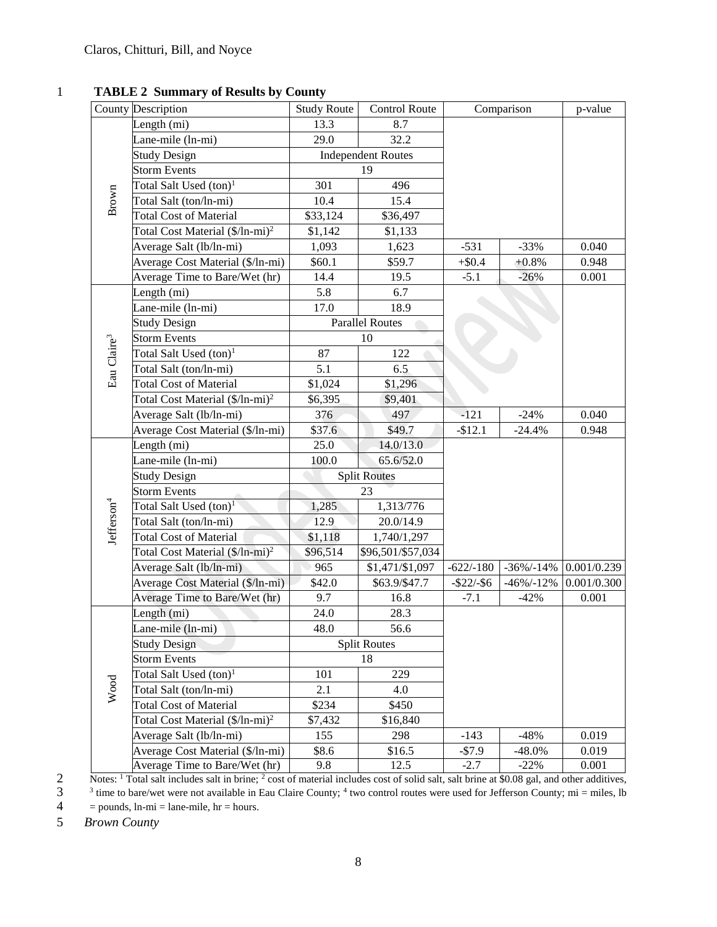# 1 **TABLE 2 Summary of Results by County**

|                         | County Description                          | <b>Study Route</b>        | Control Route          | Comparison    |                | p-value     |
|-------------------------|---------------------------------------------|---------------------------|------------------------|---------------|----------------|-------------|
|                         | Length (mi)                                 | 13.3                      | 8.7                    |               |                |             |
|                         | Lane-mile (ln-mi)                           | 29.0                      | 32.2                   |               |                |             |
|                         | <b>Study Design</b>                         | <b>Independent Routes</b> |                        |               |                |             |
|                         | <b>Storm Events</b>                         | 19                        |                        |               |                |             |
|                         | Total Salt Used $(ton)^1$                   | 301                       | 496                    |               |                |             |
| Brown                   | Total Salt (ton/ln-mi)                      | 10.4                      | 15.4                   |               |                |             |
|                         | <b>Total Cost of Material</b>               | \$33,124                  | \$36,497               |               |                |             |
|                         | Total Cost Material (\$/ln-mi) <sup>2</sup> | \$1,142                   | \$1,133                |               |                |             |
|                         | Average Salt (lb/ln-mi)                     | 1,093                     | 1,623                  | $-531$        | $-33%$         | 0.040       |
|                         | Average Cost Material (\$/ln-mi)            | \$60.1                    | \$59.7                 | $+ $0.4$      | $+0.8%$        | 0.948       |
|                         | Average Time to Bare/Wet (hr)               | 14.4                      | 19.5                   | $-5.1$        | $-26%$         | 0.001       |
|                         | Length (mi)                                 | 5.8                       | 6.7                    |               |                |             |
|                         | Lane-mile (ln-mi)                           | 17.0                      | 18.9                   |               |                |             |
|                         | <b>Study Design</b>                         |                           | <b>Parallel Routes</b> |               |                |             |
|                         | <b>Storm Events</b>                         |                           | 10                     |               |                |             |
| Eau Claire <sup>3</sup> | Total Salt Used $(ton)^1$                   | 87                        | 122                    |               |                |             |
|                         | Total Salt (ton/ln-mi)                      | 5.1                       | 6.5                    |               |                |             |
|                         | <b>Total Cost of Material</b>               | \$1,024                   | \$1,296                |               |                |             |
|                         | Total Cost Material (\$/ln-mi) <sup>2</sup> | \$6,395                   | \$9,401                |               |                |             |
|                         | Average Salt (lb/ln-mi)                     | 376                       | 497                    | $-121$        | $-24%$         | 0.040       |
|                         | Average Cost Material (\$/ln-mi)            | \$37.6                    | \$49.7                 | $-$12.1$      | $-24.4%$       | 0.948       |
|                         | Length (mi)                                 | 25.0                      | 14.0/13.0              |               |                |             |
|                         | Lane-mile (ln-mi)                           | 100.0                     | 65.6/52.0              |               |                |             |
|                         | <b>Study Design</b>                         |                           | <b>Split Routes</b>    |               |                |             |
|                         | <b>Storm Events</b>                         | 23                        |                        |               |                |             |
|                         | Total Salt Used (ton) <sup>1</sup>          | 1,285                     | 1,313/776              |               |                |             |
|                         | Total Salt (ton/ln-mi)                      | 12.9                      | 20.0/14.9              |               |                |             |
| Jefferson <sup>4</sup>  | <b>Total Cost of Material</b>               | \$1,118                   | 1,740/1,297            |               |                |             |
|                         | Total Cost Material (\$/ln-mi) <sup>2</sup> | \$96,514                  | \$96,501/\$57,034      |               |                |             |
|                         | Average Salt (lb/ln-mi)                     | 965                       | \$1,471/\$1,097        | $-622/-180$   | $-36\%/ -14\%$ | 0.001/0.239 |
|                         | Average Cost Material (\$/ln-mi)            | \$42.0                    | \$63.9/\$47.7          | $-$ \$22/-\$6 | $-46\% - 12\%$ | 0.001/0.300 |
|                         | Average Time to Bare/Wet (hr)               | 9.7                       | 16.8                   | $-7.1$        | $-42%$         | 0.001       |
|                         | Length (mi)                                 | 24.0                      | 28.3                   |               |                |             |
|                         | Lane-mile (ln-mi)                           | 48.0                      | 56.6                   |               |                |             |
|                         | <b>Study Design</b>                         |                           | <b>Split Routes</b>    |               |                |             |
|                         | <b>Storm Events</b>                         | 18                        |                        |               |                |             |
|                         | Total Salt Used (ton) <sup>1</sup>          | 101                       | 229                    |               |                |             |
| Wood                    | Total Salt (ton/ln-mi)                      | 2.1                       | 4.0                    |               |                |             |
|                         | <b>Total Cost of Material</b>               | \$234                     | \$450                  |               |                |             |
|                         | Total Cost Material (\$/ln-mi) <sup>2</sup> | \$7,432                   | \$16,840               |               |                |             |
|                         | Average Salt (lb/ln-mi)                     | 155                       | 298                    | $-143$        | $-48%$         | 0.019       |
|                         | Average Cost Material (\$/ln-mi)            | \$8.6                     | \$16.5                 | $-$7.9$       | $-48.0\%$      | 0.019       |
|                         | Average Time to Bare/Wet (hr)               | 9.8                       | 12.5                   | $-2.7$        | $-22%$         | 0.001       |

Notes: <sup>1</sup> Total salt includes salt in brine; <sup>2</sup> cost of material includes cost of solid salt, salt brine at \$0.08 gal, and other additives,

 $3<sup>3</sup>$  time to bare/wet were not available in Eau Claire County; <sup>4</sup> two control routes were used for Jefferson County; mi = miles, lb  $4 =$  pounds,  $ln-mi =$  lane-mile,  $hr =$  hours.

5 *Brown County*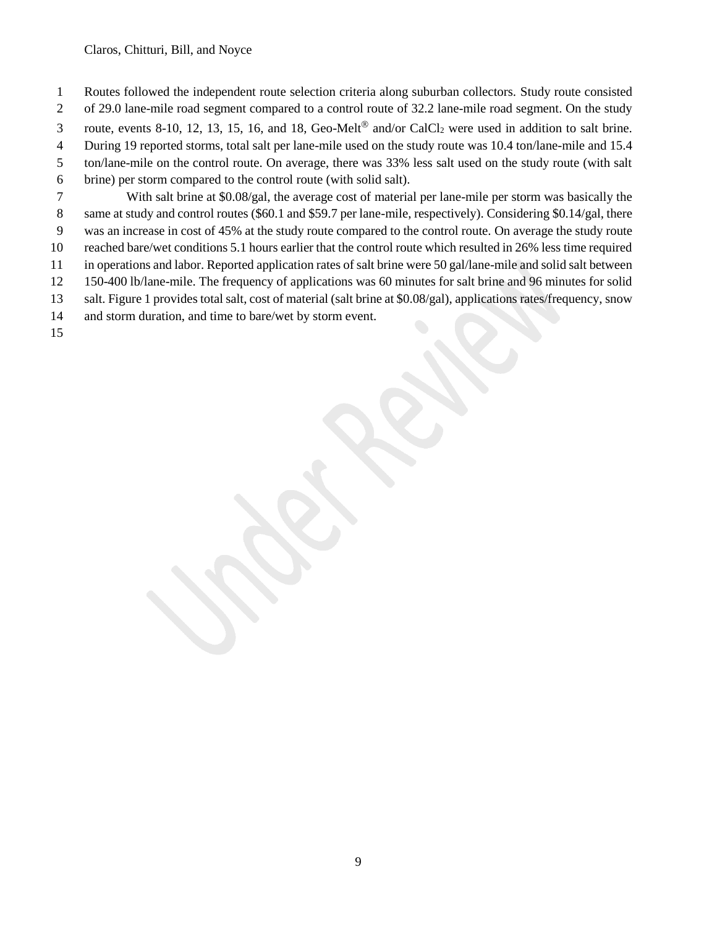- Routes followed the independent route selection criteria along suburban collectors. Study route consisted
- of 29.0 lane-mile road segment compared to a control route of 32.2 lane-mile road segment. On the study
- 3 route, events 8-10, 12, 13, 15, 16, and 18, Geo-Melt<sup>®</sup> and/or CalCl<sub>2</sub> were used in addition to salt brine.
- During 19 reported storms, total salt per lane-mile used on the study route was 10.4 ton/lane-mile and 15.4
- ton/lane-mile on the control route. On average, there was 33% less salt used on the study route (with salt
- brine) per storm compared to the control route (with solid salt).
- With salt brine at \$0.08/gal, the average cost of material per lane-mile per storm was basically the same at study and control routes (\$60.1 and \$59.7 per lane-mile, respectively). Considering \$0.14/gal, there
- was an increase in cost of 45% at the study route compared to the control route. On average the study route
- reached bare/wet conditions 5.1 hours earlier that the control route which resulted in 26% less time required
- in operations and labor. Reported application rates of salt brine were 50 gal/lane-mile and solid salt between 150-400 lb/lane-mile. The frequency of applications was 60 minutes for salt brine and 96 minutes for solid
- salt. Figure 1 provides total salt, cost of material (salt brine at \$0.08/gal), applications rates/frequency, snow
- and storm duration, and time to bare/wet by storm event.
-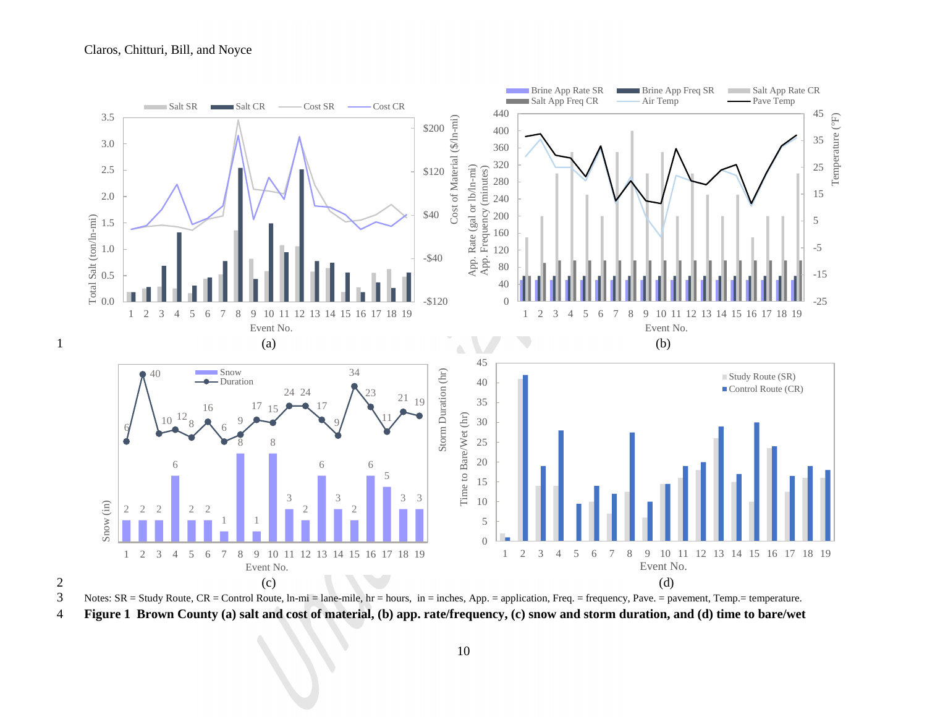

**Figure 1 Brown County (a) salt and cost of material, (b) app. rate/frequency, (c) snow and storm duration, and (d) time to bare/wet**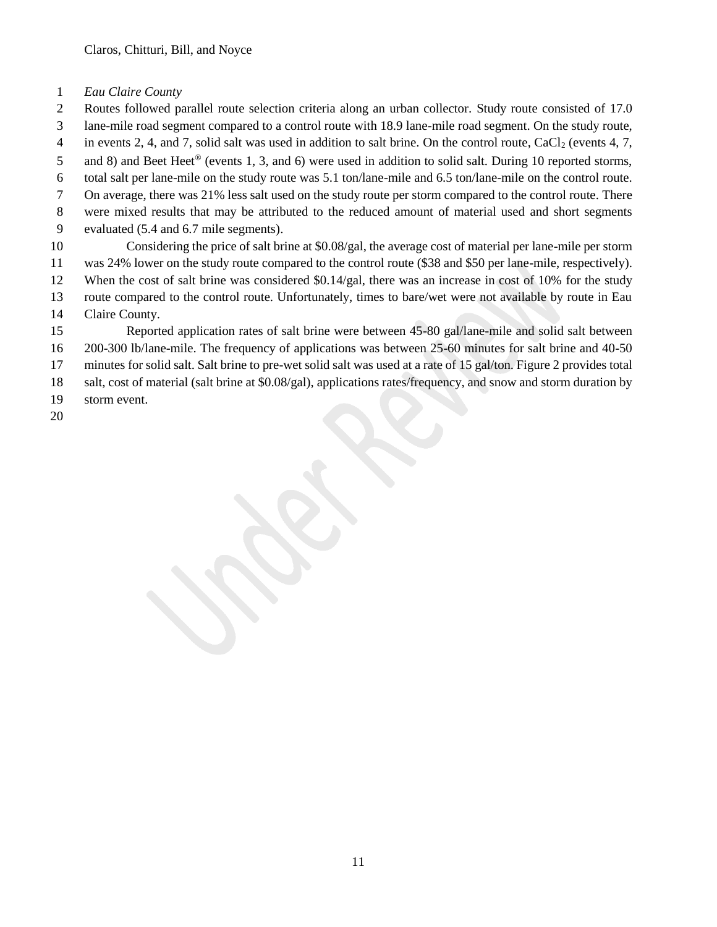- *Eau Claire County*
- Routes followed parallel route selection criteria along an urban collector. Study route consisted of 17.0
- lane-mile road segment compared to a control route with 18.9 lane-mile road segment. On the study route,
- 4 in events 2, 4, and 7, solid salt was used in addition to salt brine. On the control route, CaCl<sub>2</sub> (events 4, 7,
- 5 and 8) and Beet Heet<sup>®</sup> (events 1, 3, and 6) were used in addition to solid salt. During 10 reported storms,
- total salt per lane-mile on the study route was 5.1 ton/lane-mile and 6.5 ton/lane-mile on the control route.
- On average, there was 21% less salt used on the study route per storm compared to the control route. There
- were mixed results that may be attributed to the reduced amount of material used and short segments
- evaluated (5.4 and 6.7 mile segments).
- Considering the price of salt brine at \$0.08/gal, the average cost of material per lane-mile per storm was 24% lower on the study route compared to the control route (\$38 and \$50 per lane-mile, respectively).
- When the cost of salt brine was considered \$0.14/gal, there was an increase in cost of 10% for the study
- route compared to the control route. Unfortunately, times to bare/wet were not available by route in Eau
- Claire County.
- Reported application rates of salt brine were between 45-80 gal/lane-mile and solid salt between
- 200-300 lb/lane-mile. The frequency of applications was between 25-60 minutes for salt brine and 40-50
- minutes for solid salt. Salt brine to pre-wet solid salt was used at a rate of 15 gal/ton. Figure 2 provides total
- salt, cost of material (salt brine at \$0.08/gal), applications rates/frequency, and snow and storm duration by
- storm event.
-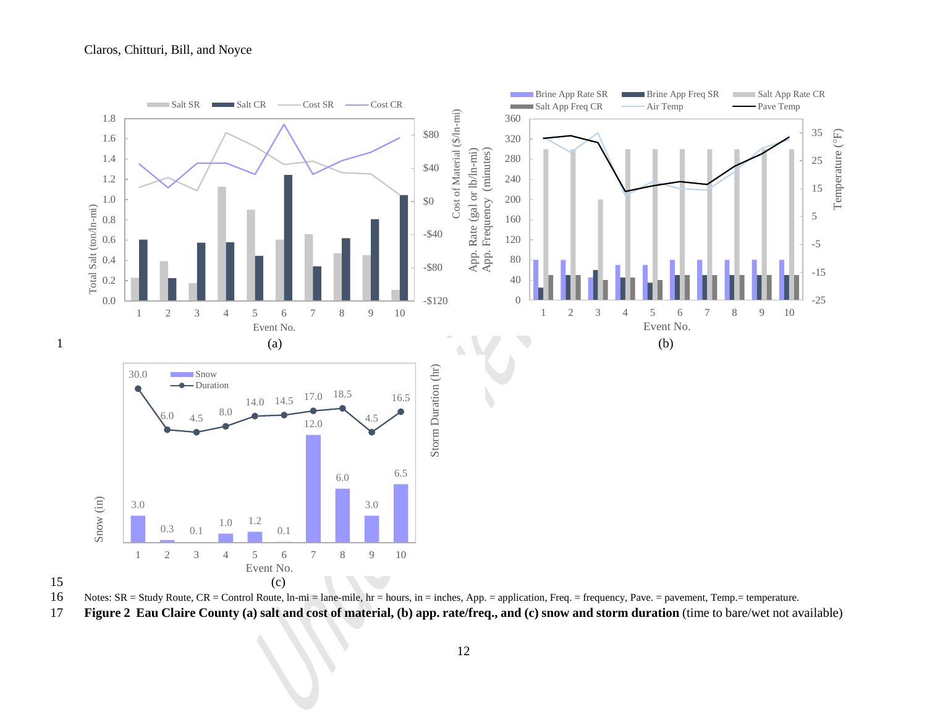

16 Notes: SR = Study Route, CR = Control Route, ln-mi = lane-mile, hr = hours, in = inches, App. = application, Freq. = frequency, Pave. = pavement, Temp.= temperature.

17 **Figure 2 Eau Claire County (a) salt and cost of material, (b) app. rate/freq., and (c) snow and storm duration** (time to bare/wet not available)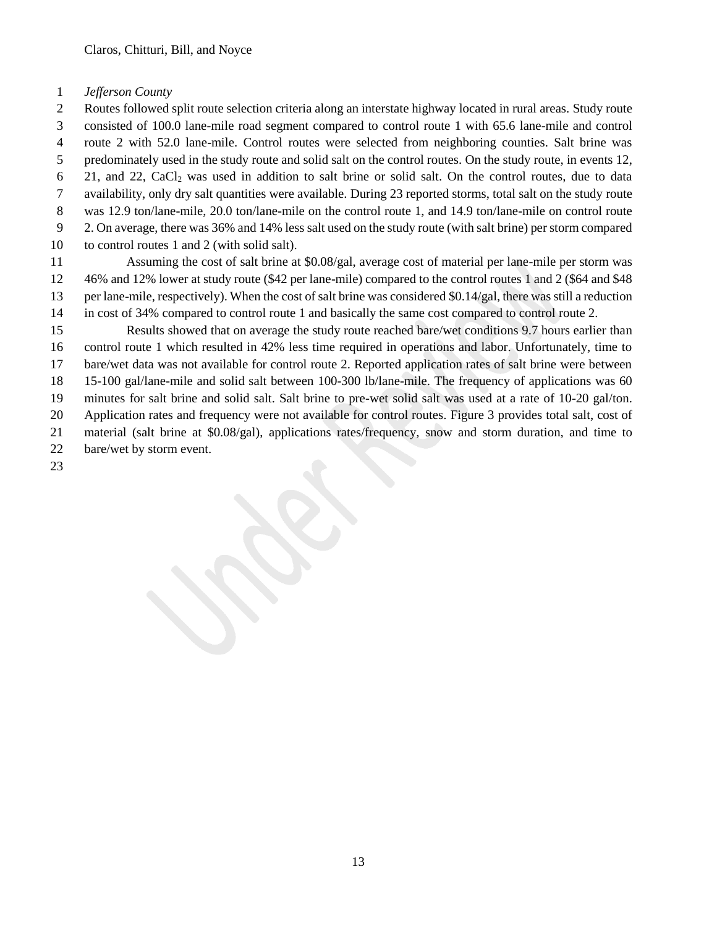## *Jefferson County*

 Routes followed split route selection criteria along an interstate highway located in rural areas. Study route consisted of 100.0 lane-mile road segment compared to control route 1 with 65.6 lane-mile and control route 2 with 52.0 lane-mile. Control routes were selected from neighboring counties. Salt brine was predominately used in the study route and solid salt on the control routes. On the study route, in events 12, 21, and 22, CaCl<sup>2</sup> was used in addition to salt brine or solid salt. On the control routes, due to data availability, only dry salt quantities were available. During 23 reported storms, total salt on the study route was 12.9 ton/lane-mile, 20.0 ton/lane-mile on the control route 1, and 14.9 ton/lane-mile on control route 2. On average, there was 36% and 14% less salt used on the study route (with salt brine) per storm compared to control routes 1 and 2 (with solid salt).

 Assuming the cost of salt brine at \$0.08/gal, average cost of material per lane-mile per storm was 46% and 12% lower at study route (\$42 per lane-mile) compared to the control routes 1 and 2 (\$64 and \$48 per lane-mile, respectively). When the cost of salt brine was considered \$0.14/gal, there was still a reduction in cost of 34% compared to control route 1 and basically the same cost compared to control route 2.

 Results showed that on average the study route reached bare/wet conditions 9.7 hours earlier than control route 1 which resulted in 42% less time required in operations and labor. Unfortunately, time to bare/wet data was not available for control route 2. Reported application rates of salt brine were between 15-100 gal/lane-mile and solid salt between 100-300 lb/lane-mile. The frequency of applications was 60 minutes for salt brine and solid salt. Salt brine to pre-wet solid salt was used at a rate of 10-20 gal/ton. Application rates and frequency were not available for control routes. Figure 3 provides total salt, cost of material (salt brine at \$0.08/gal), applications rates/frequency, snow and storm duration, and time to bare/wet by storm event.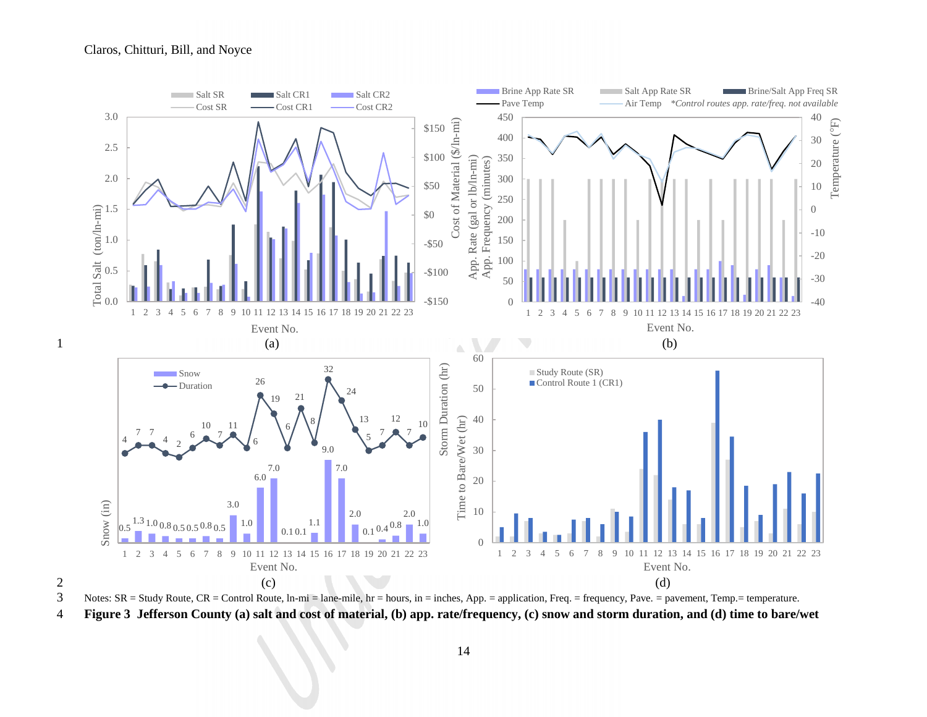

3 Notes:  $SR = Study Route, CR = Control Route, In-mi = lane-mile, hr = hours, in = inches, App. = application, Freq. = frequency, Pave. = parameter, Temp = temperature.$ 4 **Figure 3 Jefferson County (a) salt and cost of material, (b) app. rate/frequency, (c) snow and storm duration, and (d) time to bare/wet**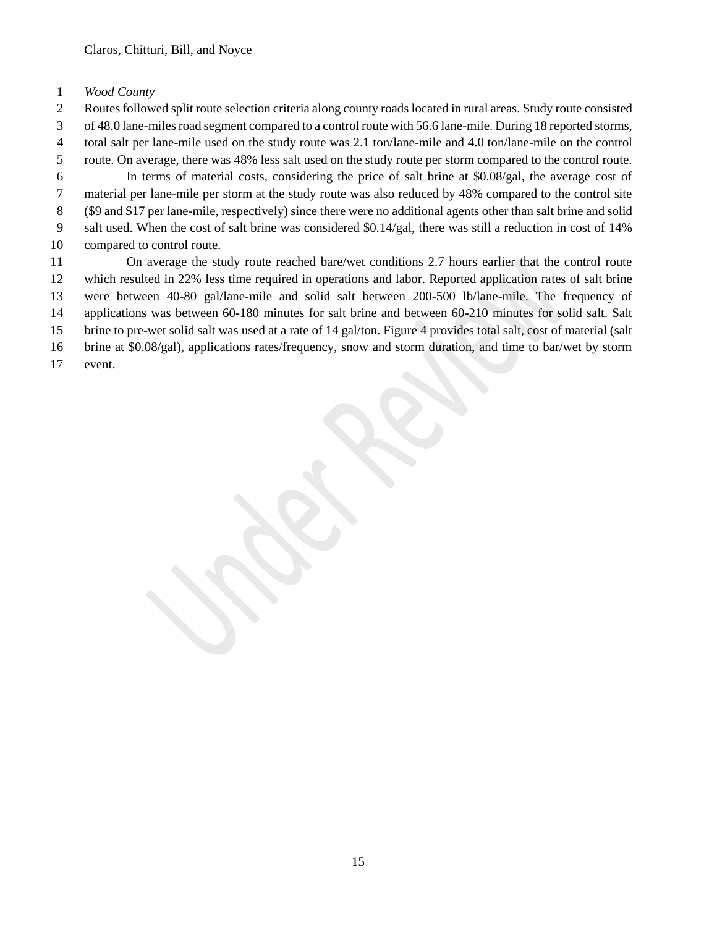## *Wood County*

 Routes followed split route selection criteria along county roads located in rural areas. Study route consisted of 48.0 lane-miles road segment compared to a control route with 56.6 lane-mile. During 18 reported storms, total salt per lane-mile used on the study route was 2.1 ton/lane-mile and 4.0 ton/lane-mile on the control route. On average, there was 48% less salt used on the study route per storm compared to the control route.

 In terms of material costs, considering the price of salt brine at \$0.08/gal, the average cost of material per lane-mile per storm at the study route was also reduced by 48% compared to the control site (\$9 and \$17 per lane-mile, respectively) since there were no additional agents other than salt brine and solid

 salt used. When the cost of salt brine was considered \$0.14/gal, there was still a reduction in cost of 14% compared to control route.

 On average the study route reached bare/wet conditions 2.7 hours earlier that the control route which resulted in 22% less time required in operations and labor. Reported application rates of salt brine were between 40-80 gal/lane-mile and solid salt between 200-500 lb/lane-mile. The frequency of applications was between 60-180 minutes for salt brine and between 60-210 minutes for solid salt. Salt brine to pre-wet solid salt was used at a rate of 14 gal/ton. Figure 4 provides total salt, cost of material (salt brine at \$0.08/gal), applications rates/frequency, snow and storm duration, and time to bar/wet by storm

event.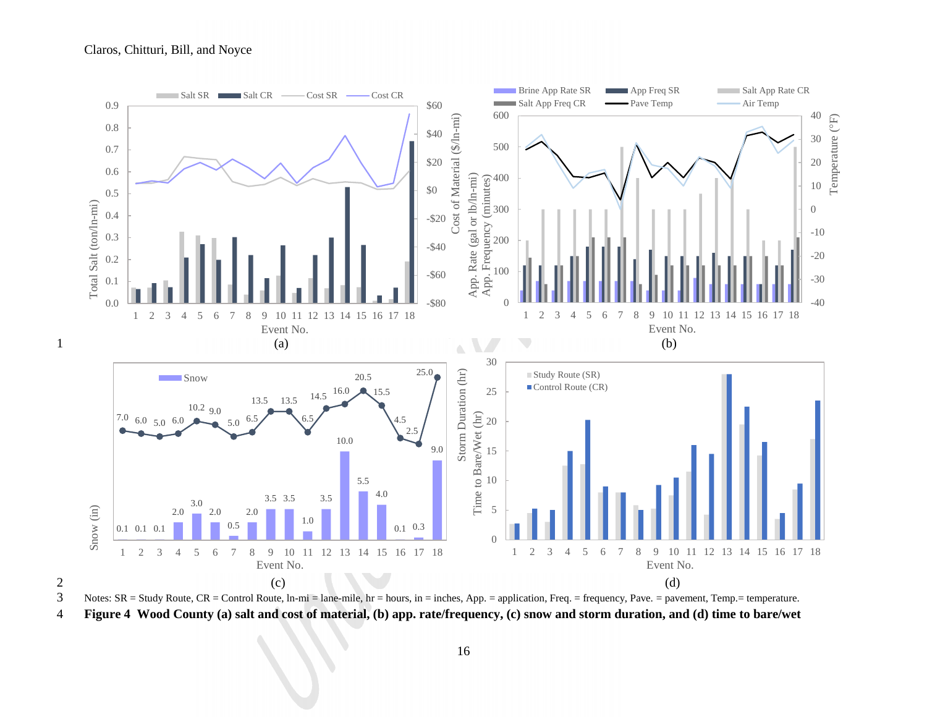

3 Notes:  $SR = Study Route, CR = Control Route, In-mi = lane-mile, hr = hours, in = inches, App. = application, Freq. = frequency, Pave. = parameter, Temp. = temperature.$ 4 **Figure 4 Wood County (a) salt and cost of material, (b) app. rate/frequency, (c) snow and storm duration, and (d) time to bare/wet**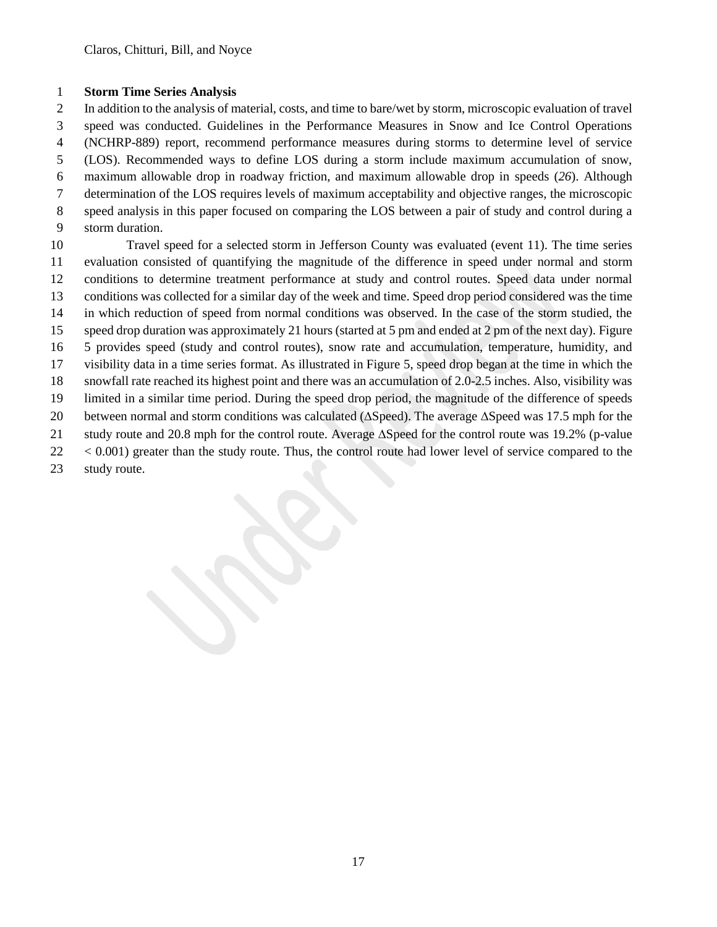#### **Storm Time Series Analysis**

 In addition to the analysis of material, costs, and time to bare/wet by storm, microscopic evaluation of travel speed was conducted. Guidelines in the Performance Measures in Snow and Ice Control Operations (NCHRP-889) report, recommend performance measures during storms to determine level of service (LOS). Recommended ways to define LOS during a storm include maximum accumulation of snow, maximum allowable drop in roadway friction, and maximum allowable drop in speeds (*26*). Although determination of the LOS requires levels of maximum acceptability and objective ranges, the microscopic speed analysis in this paper focused on comparing the LOS between a pair of study and control during a storm duration.

 Travel speed for a selected storm in Jefferson County was evaluated (event 11). The time series evaluation consisted of quantifying the magnitude of the difference in speed under normal and storm conditions to determine treatment performance at study and control routes. Speed data under normal conditions was collected for a similar day of the week and time. Speed drop period considered was the time in which reduction of speed from normal conditions was observed. In the case of the storm studied, the speed drop duration was approximately 21 hours (started at 5 pm and ended at 2 pm of the next day). Figure 5 provides speed (study and control routes), snow rate and accumulation, temperature, humidity, and visibility data in a time series format. As illustrated in Figure 5, speed drop began at the time in which the snowfall rate reached its highest point and there was an accumulation of 2.0-2.5 inches. Also, visibility was limited in a similar time period. During the speed drop period, the magnitude of the difference of speeds 20 between normal and storm conditions was calculated ( $\Delta S$ peed). The average  $\Delta S$ peed was 17.5 mph for the 21 study route and 20.8 mph for the control route. Average  $\Delta S$  peed for the control route was 19.2% (p-value 22 < 0.001) greater than the study route. Thus, the control route had lower level of service compared to the study route.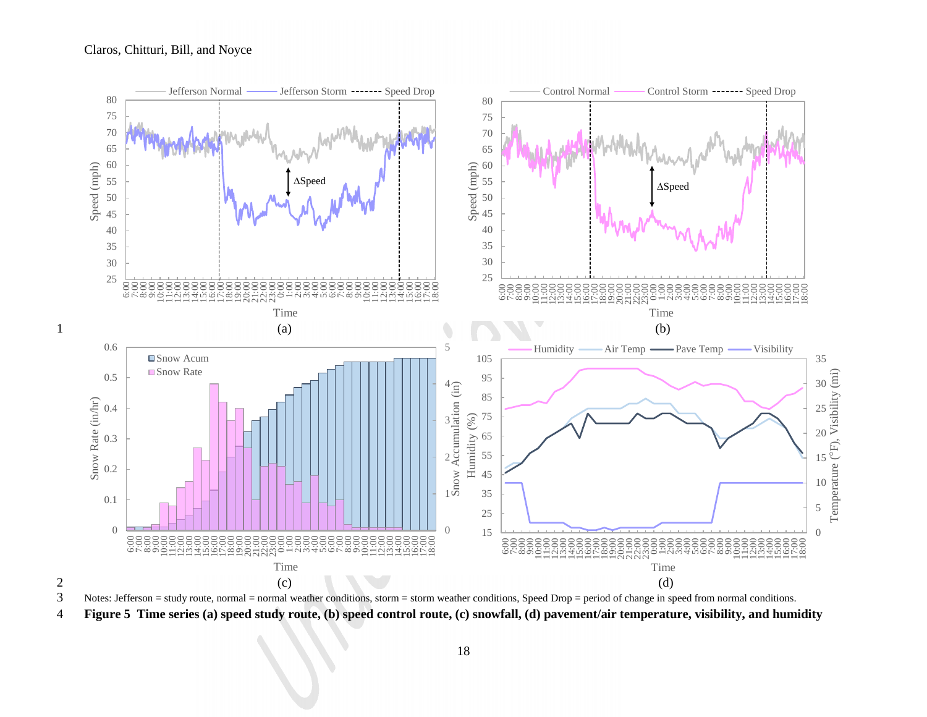

 $3$  Notes: Jefferson = study route, normal = normal weather conditions, storm = storm weather conditions, Speed Drop = period of change in speed from normal conditions. 4 **Figure 5 Time series (a) speed study route, (b) speed control route, (c) snowfall, (d) pavement/air temperature, visibility, and humidity**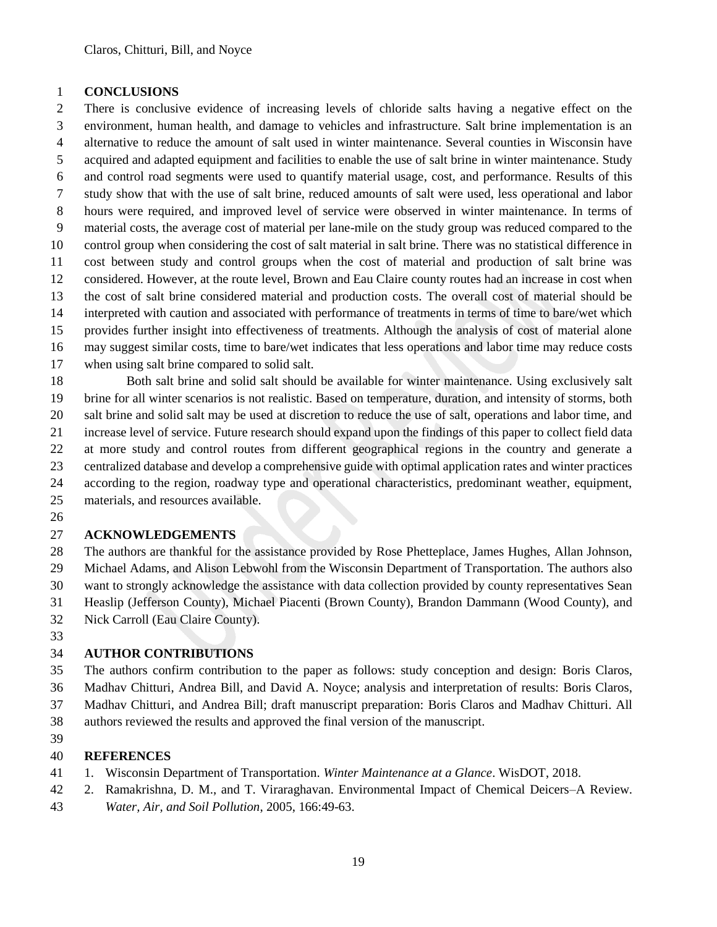## **CONCLUSIONS**

 There is conclusive evidence of increasing levels of chloride salts having a negative effect on the environment, human health, and damage to vehicles and infrastructure. Salt brine implementation is an alternative to reduce the amount of salt used in winter maintenance. Several counties in Wisconsin have acquired and adapted equipment and facilities to enable the use of salt brine in winter maintenance. Study and control road segments were used to quantify material usage, cost, and performance. Results of this study show that with the use of salt brine, reduced amounts of salt were used, less operational and labor hours were required, and improved level of service were observed in winter maintenance. In terms of material costs, the average cost of material per lane-mile on the study group was reduced compared to the control group when considering the cost of salt material in salt brine. There was no statistical difference in cost between study and control groups when the cost of material and production of salt brine was considered. However, at the route level, Brown and Eau Claire county routes had an increase in cost when the cost of salt brine considered material and production costs. The overall cost of material should be interpreted with caution and associated with performance of treatments in terms of time to bare/wet which provides further insight into effectiveness of treatments. Although the analysis of cost of material alone may suggest similar costs, time to bare/wet indicates that less operations and labor time may reduce costs when using salt brine compared to solid salt.

 Both salt brine and solid salt should be available for winter maintenance. Using exclusively salt brine for all winter scenarios is not realistic. Based on temperature, duration, and intensity of storms, both salt brine and solid salt may be used at discretion to reduce the use of salt, operations and labor time, and increase level of service. Future research should expand upon the findings of this paper to collect field data at more study and control routes from different geographical regions in the country and generate a centralized database and develop a comprehensive guide with optimal application rates and winter practices according to the region, roadway type and operational characteristics, predominant weather, equipment, materials, and resources available.

## **ACKNOWLEDGEMENTS**

 The authors are thankful for the assistance provided by Rose Phetteplace, James Hughes, Allan Johnson, Michael Adams, and Alison Lebwohl from the Wisconsin Department of Transportation. The authors also want to strongly acknowledge the assistance with data collection provided by county representatives Sean Heaslip (Jefferson County), Michael Piacenti (Brown County), Brandon Dammann (Wood County), and

- Nick Carroll (Eau Claire County).
- 

# **AUTHOR CONTRIBUTIONS**

The authors confirm contribution to the paper as follows: study conception and design: Boris Claros,

- Madhav Chitturi, Andrea Bill, and David A. Noyce; analysis and interpretation of results: Boris Claros,
- Madhav Chitturi, and Andrea Bill; draft manuscript preparation: Boris Claros and Madhav Chitturi. All
- authors reviewed the results and approved the final version of the manuscript.
- 

# **REFERENCES**

- 1. Wisconsin Department of Transportation. *Winter Maintenance at a Glance*. WisDOT, 2018.
- 2. Ramakrishna, D. M., and T. Viraraghavan. Environmental Impact of Chemical Deicers–A Review.
- *Water, Air, and Soil Pollution*, 2005, 166:49-63.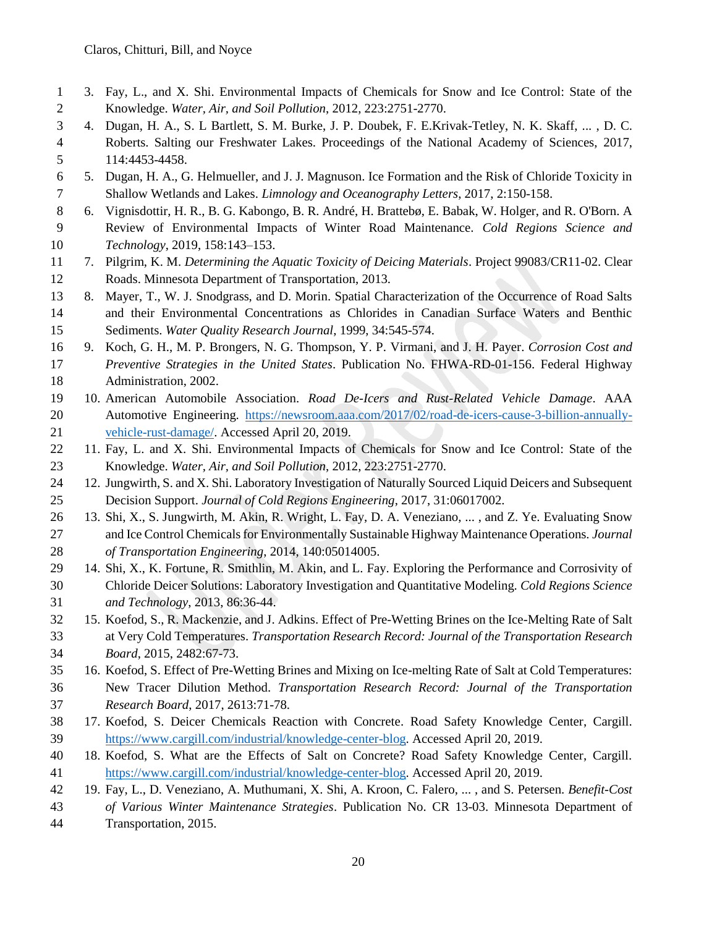- 3. Fay, L., and X. Shi. Environmental Impacts of Chemicals for Snow and Ice Control: State of the Knowledge. *Water, Air, and Soil Pollution*, 2012, 223:2751-2770.
- 4. Dugan, H. A., S. L Bartlett, S. M. Burke, J. P. Doubek, F. E.Krivak-Tetley, N. K. Skaff, ... , D. C. Roberts. Salting our Freshwater Lakes. Proceedings of the National Academy of Sciences, 2017, 114:4453-4458.
- 5. Dugan, H. A., G. Helmueller, and J. J. Magnuson. Ice Formation and the Risk of Chloride Toxicity in Shallow Wetlands and Lakes. *Limnology and Oceanography Letters*, 2017, 2:150-158.
- 6. Vignisdottir, H. R., B. G. Kabongo, B. R. André, H. Brattebø, E. Babak, W. Holger, and R. O'Born. A Review of Environmental Impacts of Winter Road Maintenance. *Cold Regions Science and Technology*, 2019, 158:143–153.
- 7. Pilgrim, K. M. *Determining the Aquatic Toxicity of Deicing Materials*. Project 99083/CR11-02. Clear Roads. Minnesota Department of Transportation, 2013.
- 8. Mayer, T., W. J. Snodgrass, and D. Morin. Spatial Characterization of the Occurrence of Road Salts and their Environmental Concentrations as Chlorides in Canadian Surface Waters and Benthic Sediments. *Water Quality Research Journal*, 1999, 34:545-574.
- 9. Koch, G. H., M. P. Brongers, N. G. Thompson, Y. P. Virmani, and J. H. Payer. *Corrosion Cost and Preventive Strategies in the United States*. Publication No. FHWA-RD-01-156. Federal Highway Administration, 2002.
- 10. American Automobile Association. *Road De-Icers and Rust-Related Vehicle Damage*. AAA Automotive Engineering. [https://newsroom.aaa.com/2017/02/road-de-icers-cause-3-billion-annually-](https://newsroom.aaa.com/2017/02/road-de-icers-cause-3-billion-annually-vehicle-rust-damage/)[vehicle-rust-damage/.](https://newsroom.aaa.com/2017/02/road-de-icers-cause-3-billion-annually-vehicle-rust-damage/) Accessed April 20, 2019.
- 11. Fay, L. and X. Shi. Environmental Impacts of Chemicals for Snow and Ice Control: State of the Knowledge. *Water, Air, and Soil Pollution*, 2012, 223:2751-2770.
- 12. Jungwirth, S. and X. Shi. Laboratory Investigation of Naturally Sourced Liquid Deicers and Subsequent Decision Support. *Journal of Cold Regions Engineering*, 2017, 31:06017002.
- 13. Shi, X., S. Jungwirth, M. Akin, R. Wright, L. Fay, D. A. Veneziano, ... , and Z. Ye. Evaluating Snow and Ice Control Chemicals for Environmentally Sustainable Highway Maintenance Operations. *Journal of Transportation Engineering*, 2014, 140:05014005.
- 14. Shi, X., K. Fortune, R. Smithlin, M. Akin, and L. Fay. Exploring the Performance and Corrosivity of Chloride Deicer Solutions: Laboratory Investigation and Quantitative Modeling. *Cold Regions Science and Technology*, 2013, 86:36-44.
- 15. Koefod, S., R. Mackenzie, and J. Adkins. Effect of Pre-Wetting Brines on the Ice-Melting Rate of Salt at Very Cold Temperatures. *Transportation Research Record: Journal of the Transportation Research Board*, 2015, 2482:67-73.
- 16. Koefod, S. Effect of Pre-Wetting Brines and Mixing on Ice-melting Rate of Salt at Cold Temperatures: New Tracer Dilution Method. *Transportation Research Record: Journal of the Transportation Research Board*, 2017, 2613:71-78.
- 17. Koefod, S. Deicer Chemicals Reaction with Concrete. Road Safety Knowledge Center, Cargill. [https://www.cargill.com/industrial/knowledge-center-blog.](https://www.cargill.com/industrial/knowledge-center-blog) Accessed April 20, 2019.
- 18. Koefod, S. What are the Effects of Salt on Concrete? Road Safety Knowledge Center, Cargill. [https://www.cargill.com/industrial/knowledge-center-blog.](https://www.cargill.com/industrial/knowledge-center-blog) Accessed April 20, 2019.
- 19. Fay, L., D. Veneziano, A. Muthumani, X. Shi, A. Kroon, C. Falero, ... , and S. Petersen. *Benefit-Cost*
- *of Various Winter Maintenance Strategies*. Publication No. CR 13-03. Minnesota Department of Transportation, 2015.
	-